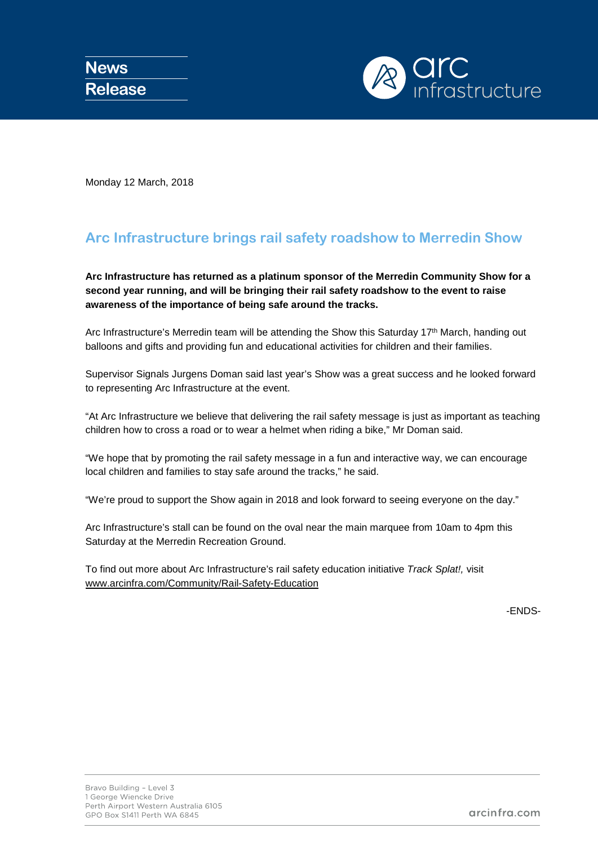

Monday 12 March, 2018

## **Arc Infrastructure brings rail safety roadshow to Merredin Show**

**Arc Infrastructure has returned as a platinum sponsor of the Merredin Community Show for a second year running, and will be bringing their rail safety roadshow to the event to raise awareness of the importance of being safe around the tracks.** 

Arc Infrastructure's Merredin team will be attending the Show this Saturday 17<sup>th</sup> March, handing out balloons and gifts and providing fun and educational activities for children and their families.

Supervisor Signals Jurgens Doman said last year's Show was a great success and he looked forward to representing Arc Infrastructure at the event.

"At Arc Infrastructure we believe that delivering the rail safety message is just as important as teaching children how to cross a road or to wear a helmet when riding a bike," Mr Doman said.

"We hope that by promoting the rail safety message in a fun and interactive way, we can encourage local children and families to stay safe around the tracks," he said.

"We're proud to support the Show again in 2018 and look forward to seeing everyone on the day."

Arc Infrastructure's stall can be found on the oval near the main marquee from 10am to 4pm this Saturday at the Merredin Recreation Ground.

To find out more about Arc Infrastructure's rail safety education initiative *Track Splat!,* visit [www.arcinfra.com/Community/Rail-Safety-Education](http://www.arcinfra.com/Community/Rail-Safety-Education)

-ENDS-